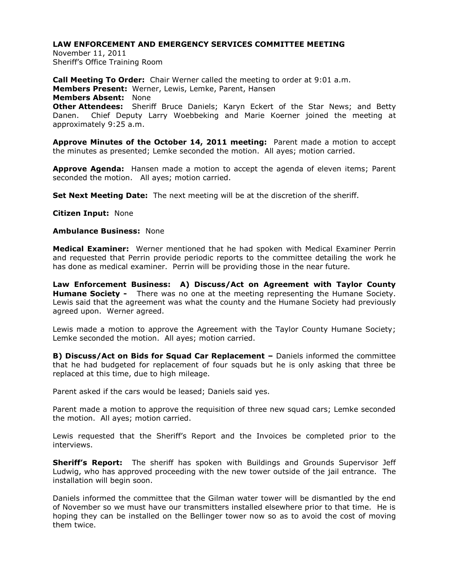November 11, 2011 Sheriff's Office Training Room

**Call Meeting To Order:** Chair Werner called the meeting to order at 9:01 a.m. **Members Present:** Werner, Lewis, Lemke, Parent, Hansen **Members Absent:** None **Other Attendees:** Sheriff Bruce Daniels; Karyn Eckert of the Star News; and Betty Danen. Chief Deputy Larry Woebbeking and Marie Koerner joined the meeting at approximately 9:25 a.m.

**Approve Minutes of the October 14, 2011 meeting:** Parent made a motion to accept the minutes as presented; Lemke seconded the motion. All ayes; motion carried.

**Approve Agenda:** Hansen made a motion to accept the agenda of eleven items; Parent seconded the motion. All ayes; motion carried.

**Set Next Meeting Date:** The next meeting will be at the discretion of the sheriff.

**Citizen Input:** None

## **Ambulance Business:** None

**Medical Examiner:** Werner mentioned that he had spoken with Medical Examiner Perrin and requested that Perrin provide periodic reports to the committee detailing the work he has done as medical examiner. Perrin will be providing those in the near future.

**Law Enforcement Business: A) Discuss/Act on Agreement with Taylor County Humane Society -** There was no one at the meeting representing the Humane Society. Lewis said that the agreement was what the county and the Humane Society had previously agreed upon. Werner agreed.

Lewis made a motion to approve the Agreement with the Taylor County Humane Society; Lemke seconded the motion. All ayes; motion carried.

**B) Discuss/Act on Bids for Squad Car Replacement –** Daniels informed the committee that he had budgeted for replacement of four squads but he is only asking that three be replaced at this time, due to high mileage.

Parent asked if the cars would be leased; Daniels said yes.

Parent made a motion to approve the requisition of three new squad cars; Lemke seconded the motion. All ayes; motion carried.

Lewis requested that the Sheriff's Report and the Invoices be completed prior to the interviews.

**Sheriff's Report:** The sheriff has spoken with Buildings and Grounds Supervisor Jeff Ludwig, who has approved proceeding with the new tower outside of the jail entrance. The installation will begin soon.

Daniels informed the committee that the Gilman water tower will be dismantled by the end of November so we must have our transmitters installed elsewhere prior to that time. He is hoping they can be installed on the Bellinger tower now so as to avoid the cost of moving them twice.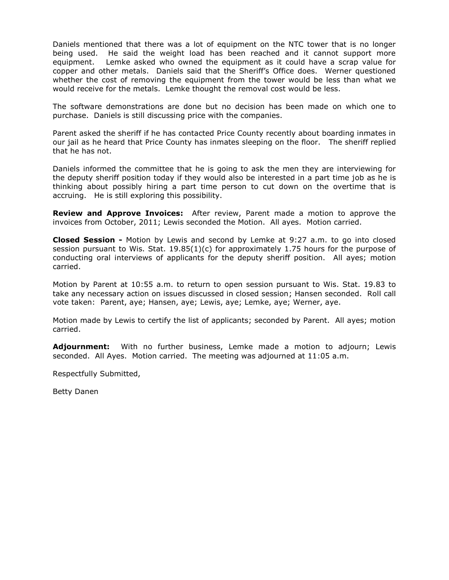Daniels mentioned that there was a lot of equipment on the NTC tower that is no longer being used. He said the weight load has been reached and it cannot support more equipment. Lemke asked who owned the equipment as it could have a scrap value for copper and other metals. Daniels said that the Sheriff's Office does. Werner questioned whether the cost of removing the equipment from the tower would be less than what we would receive for the metals. Lemke thought the removal cost would be less.

The software demonstrations are done but no decision has been made on which one to purchase. Daniels is still discussing price with the companies.

Parent asked the sheriff if he has contacted Price County recently about boarding inmates in our jail as he heard that Price County has inmates sleeping on the floor. The sheriff replied that he has not.

Daniels informed the committee that he is going to ask the men they are interviewing for the deputy sheriff position today if they would also be interested in a part time job as he is thinking about possibly hiring a part time person to cut down on the overtime that is accruing. He is still exploring this possibility.

**Review and Approve Invoices:** After review, Parent made a motion to approve the invoices from October, 2011; Lewis seconded the Motion. All ayes. Motion carried.

**Closed Session -** Motion by Lewis and second by Lemke at 9:27 a.m. to go into closed session pursuant to Wis. Stat.  $19.85(1)(c)$  for approximately 1.75 hours for the purpose of conducting oral interviews of applicants for the deputy sheriff position. All ayes; motion carried.

Motion by Parent at 10:55 a.m. to return to open session pursuant to Wis. Stat. 19.83 to take any necessary action on issues discussed in closed session; Hansen seconded. Roll call vote taken: Parent, aye; Hansen, aye; Lewis, aye; Lemke, aye; Werner, aye.

Motion made by Lewis to certify the list of applicants; seconded by Parent. All ayes; motion carried.

**Adjournment:** With no further business, Lemke made a motion to adjourn; Lewis seconded. All Ayes. Motion carried. The meeting was adjourned at 11:05 a.m.

Respectfully Submitted,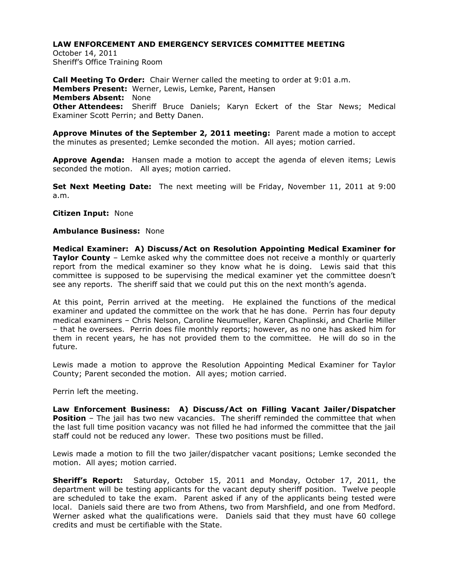October 14, 2011 Sheriff's Office Training Room

**Call Meeting To Order:** Chair Werner called the meeting to order at 9:01 a.m. **Members Present:** Werner, Lewis, Lemke, Parent, Hansen **Members Absent:** None **Other Attendees:** Sheriff Bruce Daniels; Karyn Eckert of the Star News; Medical Examiner Scott Perrin; and Betty Danen.

**Approve Minutes of the September 2, 2011 meeting:** Parent made a motion to accept the minutes as presented; Lemke seconded the motion. All ayes; motion carried.

**Approve Agenda:** Hansen made a motion to accept the agenda of eleven items; Lewis seconded the motion. All ayes; motion carried.

**Set Next Meeting Date:** The next meeting will be Friday, November 11, 2011 at 9:00 a.m.

**Citizen Input:** None

### **Ambulance Business:** None

**Medical Examiner: A) Discuss/Act on Resolution Appointing Medical Examiner for Taylor County** – Lemke asked why the committee does not receive a monthly or quarterly report from the medical examiner so they know what he is doing. Lewis said that this committee is supposed to be supervising the medical examiner yet the committee doesn't see any reports. The sheriff said that we could put this on the next month's agenda.

At this point, Perrin arrived at the meeting. He explained the functions of the medical examiner and updated the committee on the work that he has done. Perrin has four deputy medical examiners – Chris Nelson, Caroline Neumueller, Karen Chaplinski, and Charlie Miller – that he oversees. Perrin does file monthly reports; however, as no one has asked him for them in recent years, he has not provided them to the committee. He will do so in the future.

Lewis made a motion to approve the Resolution Appointing Medical Examiner for Taylor County; Parent seconded the motion. All ayes; motion carried.

Perrin left the meeting.

**Law Enforcement Business: A) Discuss/Act on Filling Vacant Jailer/Dispatcher Position** – The jail has two new vacancies. The sheriff reminded the committee that when the last full time position vacancy was not filled he had informed the committee that the jail staff could not be reduced any lower. These two positions must be filled.

Lewis made a motion to fill the two jailer/dispatcher vacant positions; Lemke seconded the motion. All ayes; motion carried.

**Sheriff's Report:** Saturday, October 15, 2011 and Monday, October 17, 2011, the department will be testing applicants for the vacant deputy sheriff position. Twelve people are scheduled to take the exam. Parent asked if any of the applicants being tested were local. Daniels said there are two from Athens, two from Marshfield, and one from Medford. Werner asked what the qualifications were. Daniels said that they must have 60 college credits and must be certifiable with the State.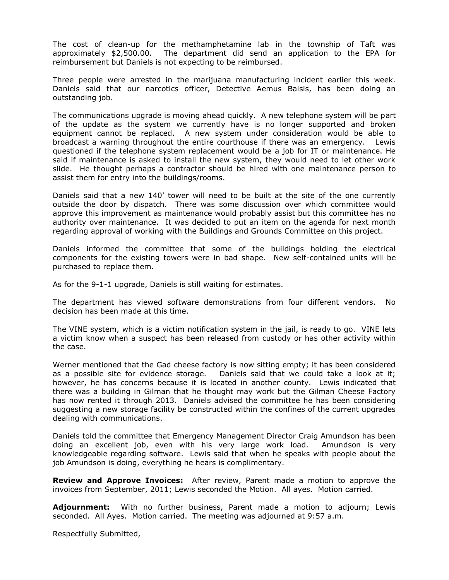The cost of clean-up for the methamphetamine lab in the township of Taft was approximately \$2,500.00. The department did send an application to the EPA for reimbursement but Daniels is not expecting to be reimbursed.

Three people were arrested in the marijuana manufacturing incident earlier this week. Daniels said that our narcotics officer, Detective Aemus Balsis, has been doing an outstanding job.

The communications upgrade is moving ahead quickly. A new telephone system will be part of the update as the system we currently have is no longer supported and broken equipment cannot be replaced. A new system under consideration would be able to broadcast a warning throughout the entire courthouse if there was an emergency. Lewis questioned if the telephone system replacement would be a job for IT or maintenance. He said if maintenance is asked to install the new system, they would need to let other work slide. He thought perhaps a contractor should be hired with one maintenance person to assist them for entry into the buildings/rooms.

Daniels said that a new 140' tower will need to be built at the site of the one currently outside the door by dispatch. There was some discussion over which committee would approve this improvement as maintenance would probably assist but this committee has no authority over maintenance. It was decided to put an item on the agenda for next month regarding approval of working with the Buildings and Grounds Committee on this project.

Daniels informed the committee that some of the buildings holding the electrical components for the existing towers were in bad shape. New self-contained units will be purchased to replace them.

As for the 9-1-1 upgrade, Daniels is still waiting for estimates.

The department has viewed software demonstrations from four different vendors. No decision has been made at this time.

The VINE system, which is a victim notification system in the jail, is ready to go. VINE lets a victim know when a suspect has been released from custody or has other activity within the case.

Werner mentioned that the Gad cheese factory is now sitting empty; it has been considered as a possible site for evidence storage. Daniels said that we could take a look at it; however, he has concerns because it is located in another county. Lewis indicated that there was a building in Gilman that he thought may work but the Gilman Cheese Factory has now rented it through 2013. Daniels advised the committee he has been considering suggesting a new storage facility be constructed within the confines of the current upgrades dealing with communications.

Daniels told the committee that Emergency Management Director Craig Amundson has been doing an excellent job, even with his very large work load. Amundson is very knowledgeable regarding software. Lewis said that when he speaks with people about the job Amundson is doing, everything he hears is complimentary.

**Review and Approve Invoices:** After review, Parent made a motion to approve the invoices from September, 2011; Lewis seconded the Motion. All ayes. Motion carried.

**Adjournment:** With no further business, Parent made a motion to adjourn; Lewis seconded. All Ayes. Motion carried. The meeting was adjourned at 9:57 a.m.

Respectfully Submitted,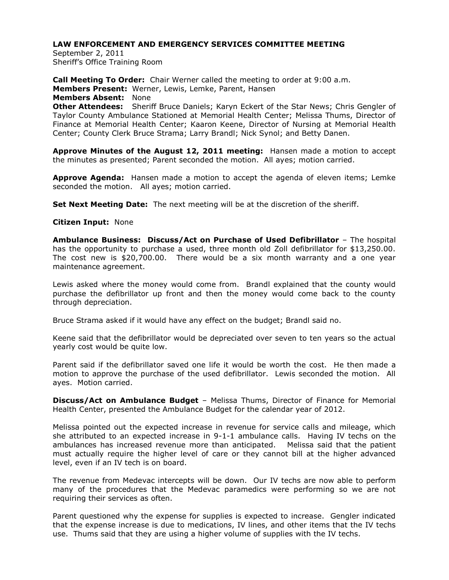September 2, 2011 Sheriff's Office Training Room

**Call Meeting To Order:** Chair Werner called the meeting to order at 9:00 a.m. **Members Present:** Werner, Lewis, Lemke, Parent, Hansen **Members Absent:** None **Other Attendees:** Sheriff Bruce Daniels; Karyn Eckert of the Star News; Chris Gengler of Taylor County Ambulance Stationed at Memorial Health Center; Melissa Thums, Director of Finance at Memorial Health Center; Kaaron Keene, Director of Nursing at Memorial Health Center; County Clerk Bruce Strama; Larry Brandl; Nick Synol; and Betty Danen.

**Approve Minutes of the August 12, 2011 meeting:** Hansen made a motion to accept the minutes as presented; Parent seconded the motion. All ayes; motion carried.

**Approve Agenda:** Hansen made a motion to accept the agenda of eleven items; Lemke seconded the motion. All ayes; motion carried.

**Set Next Meeting Date:** The next meeting will be at the discretion of the sheriff.

### **Citizen Input:** None

**Ambulance Business: Discuss/Act on Purchase of Used Defibrillator** – The hospital has the opportunity to purchase a used, three month old Zoll defibrillator for \$13,250.00. The cost new is \$20,700.00. There would be a six month warranty and a one year maintenance agreement.

Lewis asked where the money would come from. Brandl explained that the county would purchase the defibrillator up front and then the money would come back to the county through depreciation.

Bruce Strama asked if it would have any effect on the budget; Brandl said no.

Keene said that the defibrillator would be depreciated over seven to ten years so the actual yearly cost would be quite low.

Parent said if the defibrillator saved one life it would be worth the cost. He then made a motion to approve the purchase of the used defibrillator. Lewis seconded the motion. All ayes. Motion carried.

**Discuss/Act on Ambulance Budget** – Melissa Thums, Director of Finance for Memorial Health Center, presented the Ambulance Budget for the calendar year of 2012.

Melissa pointed out the expected increase in revenue for service calls and mileage, which she attributed to an expected increase in 9-1-1 ambulance calls. Having IV techs on the ambulances has increased revenue more than anticipated. Melissa said that the patient must actually require the higher level of care or they cannot bill at the higher advanced level, even if an IV tech is on board.

The revenue from Medevac intercepts will be down. Our IV techs are now able to perform many of the procedures that the Medevac paramedics were performing so we are not requiring their services as often.

Parent questioned why the expense for supplies is expected to increase. Gengler indicated that the expense increase is due to medications, IV lines, and other items that the IV techs use. Thums said that they are using a higher volume of supplies with the IV techs.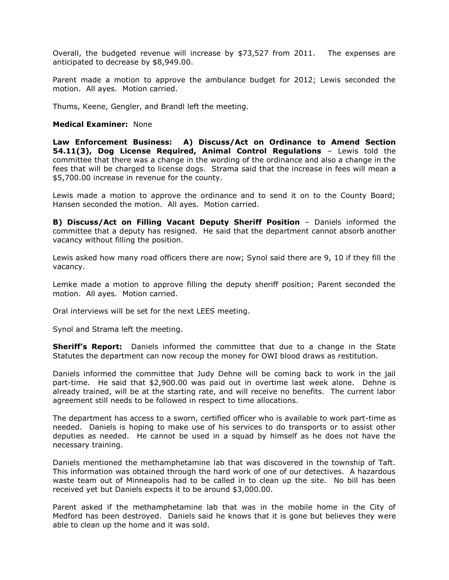Overall, the budgeted revenue will increase by \$73,527 from 2011. The expenses are anticipated to decrease by \$8,949.00.

Parent made a motion to approve the ambulance budget for 2012; Lewis seconded the motion. All ayes. Motion carried.

Thums, Keene, Gengler, and Brandl left the meeting.

#### **Medical Examiner:** None

**Law Enforcement Business: A) Discuss/Act on Ordinance to Amend Section 54.11(3), Dog License Required, Animal Control Regulations** – Lewis told the committee that there was a change in the wording of the ordinance and also a change in the fees that will be charged to license dogs. Strama said that the increase in fees will mean a \$5,700.00 increase in revenue for the county.

Lewis made a motion to approve the ordinance and to send it on to the County Board; Hansen seconded the motion. All ayes. Motion carried.

**B) Discuss/Act on Filling Vacant Deputy Sheriff Position** – Daniels informed the committee that a deputy has resigned. He said that the department cannot absorb another vacancy without filling the position.

Lewis asked how many road officers there are now; Synol said there are 9, 10 if they fill the vacancy.

Lemke made a motion to approve filling the deputy sheriff position; Parent seconded the motion. All ayes. Motion carried.

Oral interviews will be set for the next LEES meeting.

Synol and Strama left the meeting.

**Sheriff's Report:** Daniels informed the committee that due to a change in the State Statutes the department can now recoup the money for OWI blood draws as restitution.

Daniels informed the committee that Judy Dehne will be coming back to work in the jail part-time. He said that \$2,900.00 was paid out in overtime last week alone. Dehne is already trained, will be at the starting rate, and will receive no benefits. The current labor agreement still needs to be followed in respect to time allocations.

The department has access to a sworn, certified officer who is available to work part-time as needed. Daniels is hoping to make use of his services to do transports or to assist other deputies as needed. He cannot be used in a squad by himself as he does not have the necessary training.

Daniels mentioned the methamphetamine lab that was discovered in the township of Taft. This information was obtained through the hard work of one of our detectives. A hazardous waste team out of Minneapolis had to be called in to clean up the site. No bill has been received yet but Daniels expects it to be around \$3,000.00.

Parent asked if the methamphetamine lab that was in the mobile home in the City of Medford has been destroyed. Daniels said he knows that it is gone but believes they were able to clean up the home and it was sold.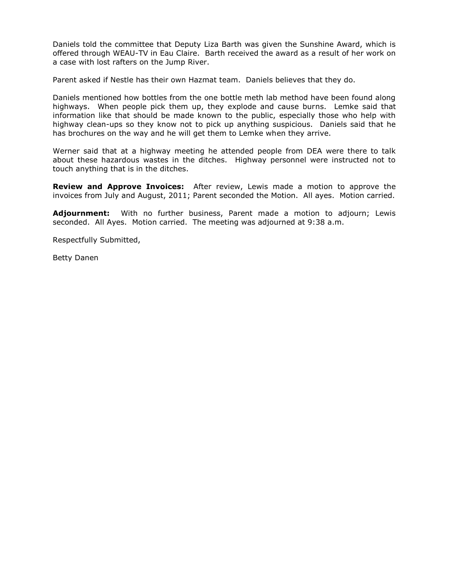Daniels told the committee that Deputy Liza Barth was given the Sunshine Award, which is offered through WEAU-TV in Eau Claire. Barth received the award as a result of her work on a case with lost rafters on the Jump River.

Parent asked if Nestle has their own Hazmat team. Daniels believes that they do.

Daniels mentioned how bottles from the one bottle meth lab method have been found along highways. When people pick them up, they explode and cause burns. Lemke said that information like that should be made known to the public, especially those who help with highway clean-ups so they know not to pick up anything suspicious. Daniels said that he has brochures on the way and he will get them to Lemke when they arrive.

Werner said that at a highway meeting he attended people from DEA were there to talk about these hazardous wastes in the ditches. Highway personnel were instructed not to touch anything that is in the ditches.

**Review and Approve Invoices:** After review, Lewis made a motion to approve the invoices from July and August, 2011; Parent seconded the Motion. All ayes. Motion carried.

**Adjournment:** With no further business, Parent made a motion to adjourn; Lewis seconded. All Ayes. Motion carried. The meeting was adjourned at 9:38 a.m.

Respectfully Submitted,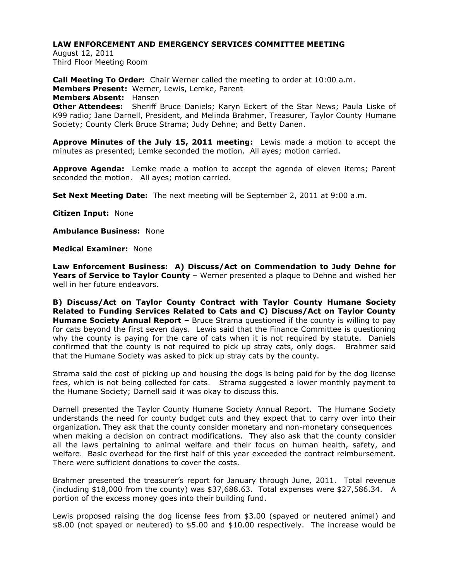August 12, 2011 Third Floor Meeting Room

**Call Meeting To Order:** Chair Werner called the meeting to order at 10:00 a.m. **Members Present:** Werner, Lewis, Lemke, Parent **Members Absent:** Hansen **Other Attendees:** Sheriff Bruce Daniels; Karyn Eckert of the Star News; Paula Liske of K99 radio; Jane Darnell, President, and Melinda Brahmer, Treasurer, Taylor County Humane Society; County Clerk Bruce Strama; Judy Dehne; and Betty Danen.

**Approve Minutes of the July 15, 2011 meeting:** Lewis made a motion to accept the minutes as presented; Lemke seconded the motion. All ayes; motion carried.

**Approve Agenda:** Lemke made a motion to accept the agenda of eleven items; Parent seconded the motion. All ayes; motion carried.

**Set Next Meeting Date:** The next meeting will be September 2, 2011 at 9:00 a.m.

**Citizen Input:** None

**Ambulance Business:** None

**Medical Examiner:** None

**Law Enforcement Business: A) Discuss/Act on Commendation to Judy Dehne for Years of Service to Taylor County** – Werner presented a plaque to Dehne and wished her well in her future endeavors.

**B) Discuss/Act on Taylor County Contract with Taylor County Humane Society Related to Funding Services Related to Cats and C) Discuss/Act on Taylor County Humane Society Annual Report –** Bruce Strama questioned if the county is willing to pay for cats beyond the first seven days. Lewis said that the Finance Committee is questioning why the county is paying for the care of cats when it is not required by statute. Daniels confirmed that the county is not required to pick up stray cats, only dogs. Brahmer said that the Humane Society was asked to pick up stray cats by the county.

Strama said the cost of picking up and housing the dogs is being paid for by the dog license fees, which is not being collected for cats. Strama suggested a lower monthly payment to the Humane Society; Darnell said it was okay to discuss this.

Darnell presented the Taylor County Humane Society Annual Report. The Humane Society understands the need for county budget cuts and they expect that to carry over into their organization. They ask that the county consider monetary and non-monetary consequences when making a decision on contract modifications. They also ask that the county consider all the laws pertaining to animal welfare and their focus on human health, safety, and welfare. Basic overhead for the first half of this year exceeded the contract reimbursement. There were sufficient donations to cover the costs.

Brahmer presented the treasurer's report for January through June, 2011. Total revenue (including \$18,000 from the county) was \$37,688.63. Total expenses were \$27,586.34. A portion of the excess money goes into their building fund.

Lewis proposed raising the dog license fees from \$3.00 (spayed or neutered animal) and \$8.00 (not spayed or neutered) to \$5.00 and \$10.00 respectively. The increase would be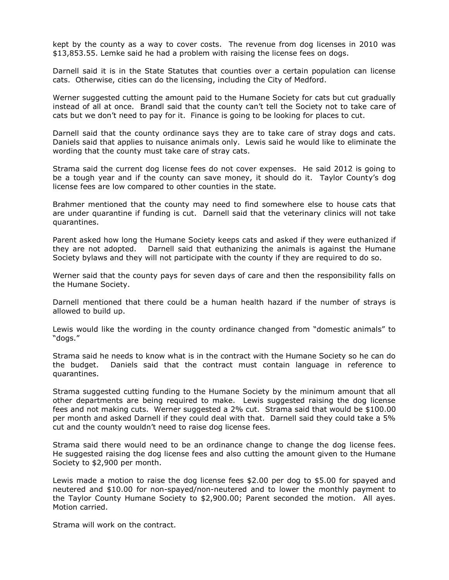kept by the county as a way to cover costs. The revenue from dog licenses in 2010 was \$13,853.55. Lemke said he had a problem with raising the license fees on dogs.

Darnell said it is in the State Statutes that counties over a certain population can license cats. Otherwise, cities can do the licensing, including the City of Medford.

Werner suggested cutting the amount paid to the Humane Society for cats but cut gradually instead of all at once. Brandl said that the county can't tell the Society not to take care of cats but we don't need to pay for it. Finance is going to be looking for places to cut.

Darnell said that the county ordinance says they are to take care of stray dogs and cats. Daniels said that applies to nuisance animals only. Lewis said he would like to eliminate the wording that the county must take care of stray cats.

Strama said the current dog license fees do not cover expenses. He said 2012 is going to be a tough year and if the county can save money, it should do it. Taylor County's dog license fees are low compared to other counties in the state.

Brahmer mentioned that the county may need to find somewhere else to house cats that are under quarantine if funding is cut. Darnell said that the veterinary clinics will not take quarantines.

Parent asked how long the Humane Society keeps cats and asked if they were euthanized if they are not adopted. Darnell said that euthanizing the animals is against the Humane Society bylaws and they will not participate with the county if they are required to do so.

Werner said that the county pays for seven days of care and then the responsibility falls on the Humane Society.

Darnell mentioned that there could be a human health hazard if the number of strays is allowed to build up.

Lewis would like the wording in the county ordinance changed from "domestic animals" to "dogs."

Strama said he needs to know what is in the contract with the Humane Society so he can do the budget. Daniels said that the contract must contain language in reference to quarantines.

Strama suggested cutting funding to the Humane Society by the minimum amount that all other departments are being required to make. Lewis suggested raising the dog license fees and not making cuts. Werner suggested a 2% cut. Strama said that would be \$100.00 per month and asked Darnell if they could deal with that. Darnell said they could take a 5% cut and the county wouldn't need to raise dog license fees.

Strama said there would need to be an ordinance change to change the dog license fees. He suggested raising the dog license fees and also cutting the amount given to the Humane Society to \$2,900 per month.

Lewis made a motion to raise the dog license fees \$2.00 per dog to \$5.00 for spayed and neutered and \$10.00 for non-spayed/non-neutered and to lower the monthly payment to the Taylor County Humane Society to \$2,900.00; Parent seconded the motion. All ayes. Motion carried.

Strama will work on the contract.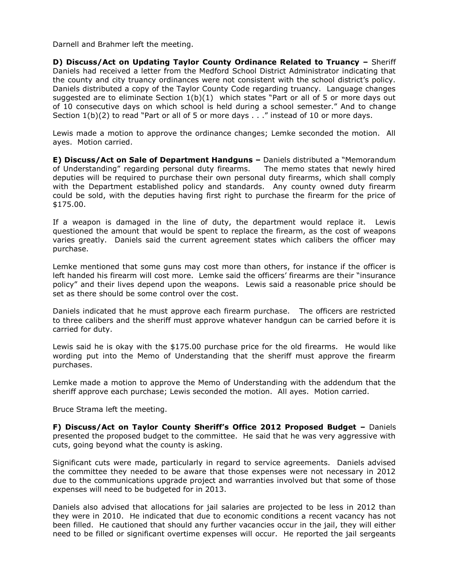Darnell and Brahmer left the meeting.

**D) Discuss/Act on Updating Taylor County Ordinance Related to Truancy –** Sheriff Daniels had received a letter from the Medford School District Administrator indicating that the county and city truancy ordinances were not consistent with the school district's policy. Daniels distributed a copy of the Taylor County Code regarding truancy. Language changes suggested are to eliminate Section  $1(b)(1)$  which states "Part or all of 5 or more days out of 10 consecutive days on which school is held during a school semester." And to change Section 1(b)(2) to read "Part or all of 5 or more days . . ." instead of 10 or more days.

Lewis made a motion to approve the ordinance changes; Lemke seconded the motion. All ayes. Motion carried.

**E) Discuss/Act on Sale of Department Handguns –** Daniels distributed a "Memorandum of Understanding" regarding personal duty firearms. The memo states that newly hired deputies will be required to purchase their own personal duty firearms, which shall comply with the Department established policy and standards. Any county owned duty firearm could be sold, with the deputies having first right to purchase the firearm for the price of \$175.00.

If a weapon is damaged in the line of duty, the department would replace it. Lewis questioned the amount that would be spent to replace the firearm, as the cost of weapons varies greatly. Daniels said the current agreement states which calibers the officer may purchase.

Lemke mentioned that some guns may cost more than others, for instance if the officer is left handed his firearm will cost more. Lemke said the officers' firearms are their "insurance policy" and their lives depend upon the weapons. Lewis said a reasonable price should be set as there should be some control over the cost.

Daniels indicated that he must approve each firearm purchase. The officers are restricted to three calibers and the sheriff must approve whatever handgun can be carried before it is carried for duty.

Lewis said he is okay with the \$175.00 purchase price for the old firearms. He would like wording put into the Memo of Understanding that the sheriff must approve the firearm purchases.

Lemke made a motion to approve the Memo of Understanding with the addendum that the sheriff approve each purchase; Lewis seconded the motion. All ayes. Motion carried.

Bruce Strama left the meeting.

**F) Discuss/Act on Taylor County Sheriff's Office 2012 Proposed Budget –** Daniels presented the proposed budget to the committee. He said that he was very aggressive with cuts, going beyond what the county is asking.

Significant cuts were made, particularly in regard to service agreements. Daniels advised the committee they needed to be aware that those expenses were not necessary in 2012 due to the communications upgrade project and warranties involved but that some of those expenses will need to be budgeted for in 2013.

Daniels also advised that allocations for jail salaries are projected to be less in 2012 than they were in 2010. He indicated that due to economic conditions a recent vacancy has not been filled. He cautioned that should any further vacancies occur in the jail, they will either need to be filled or significant overtime expenses will occur. He reported the jail sergeants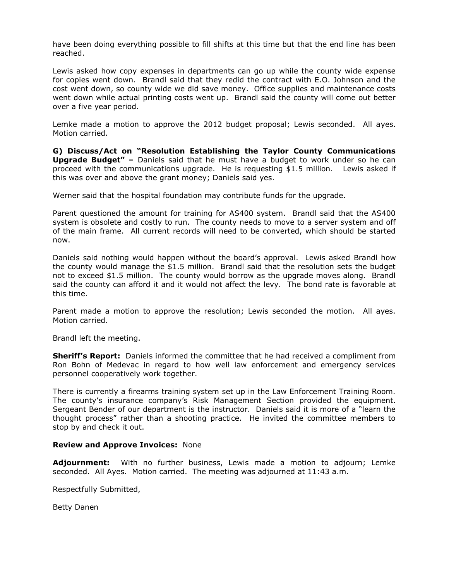have been doing everything possible to fill shifts at this time but that the end line has been reached.

Lewis asked how copy expenses in departments can go up while the county wide expense for copies went down. Brandl said that they redid the contract with E.O. Johnson and the cost went down, so county wide we did save money. Office supplies and maintenance costs went down while actual printing costs went up. Brandl said the county will come out better over a five year period.

Lemke made a motion to approve the 2012 budget proposal; Lewis seconded. All ayes. Motion carried.

**G) Discuss/Act on "Resolution Establishing the Taylor County Communications Upgrade Budget" –** Daniels said that he must have a budget to work under so he can proceed with the communications upgrade. He is requesting \$1.5 million. Lewis asked if this was over and above the grant money; Daniels said yes.

Werner said that the hospital foundation may contribute funds for the upgrade.

Parent questioned the amount for training for AS400 system. Brandl said that the AS400 system is obsolete and costly to run. The county needs to move to a server system and off of the main frame. All current records will need to be converted, which should be started now.

Daniels said nothing would happen without the board's approval. Lewis asked Brandl how the county would manage the \$1.5 million. Brandl said that the resolution sets the budget not to exceed \$1.5 million. The county would borrow as the upgrade moves along. Brandl said the county can afford it and it would not affect the levy. The bond rate is favorable at this time.

Parent made a motion to approve the resolution; Lewis seconded the motion. All ayes. Motion carried.

Brandl left the meeting.

**Sheriff's Report:** Daniels informed the committee that he had received a compliment from Ron Bohn of Medevac in regard to how well law enforcement and emergency services personnel cooperatively work together.

There is currently a firearms training system set up in the Law Enforcement Training Room. The county's insurance company's Risk Management Section provided the equipment. Sergeant Bender of our department is the instructor. Daniels said it is more of a "learn the thought process" rather than a shooting practice. He invited the committee members to stop by and check it out.

# **Review and Approve Invoices:** None

**Adjournment:** With no further business, Lewis made a motion to adjourn; Lemke seconded. All Ayes. Motion carried. The meeting was adjourned at 11:43 a.m.

Respectfully Submitted,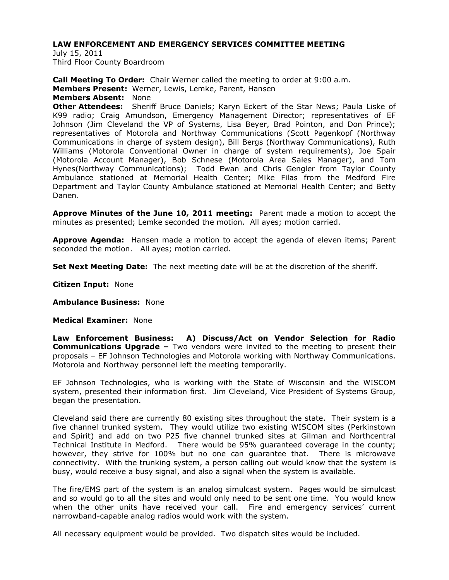July 15, 2011 Third Floor County Boardroom

**Call Meeting To Order:** Chair Werner called the meeting to order at 9:00 a.m. **Members Present:** Werner, Lewis, Lemke, Parent, Hansen **Members Absent:** None **Other Attendees:** Sheriff Bruce Daniels; Karyn Eckert of the Star News; Paula Liske of K99 radio; Craig Amundson, Emergency Management Director; representatives of EF Johnson (Jim Cleveland the VP of Systems, Lisa Beyer, Brad Pointon, and Don Prince); representatives of Motorola and Northway Communications (Scott Pagenkopf (Northway Communications in charge of system design), Bill Bergs (Northway Communications), Ruth Williams (Motorola Conventional Owner in charge of system requirements), Joe Spair (Motorola Account Manager), Bob Schnese (Motorola Area Sales Manager), and Tom Hynes(Northway Communications); Todd Ewan and Chris Gengler from Taylor County Ambulance stationed at Memorial Health Center; Mike Filas from the Medford Fire Department and Taylor County Ambulance stationed at Memorial Health Center; and Betty Danen.

**Approve Minutes of the June 10, 2011 meeting:** Parent made a motion to accept the minutes as presented; Lemke seconded the motion. All ayes; motion carried.

**Approve Agenda:** Hansen made a motion to accept the agenda of eleven items; Parent seconded the motion. All ayes; motion carried.

**Set Next Meeting Date:** The next meeting date will be at the discretion of the sheriff.

**Citizen Input:** None

**Ambulance Business:** None

**Medical Examiner:** None

**Law Enforcement Business: A) Discuss/Act on Vendor Selection for Radio Communications Upgrade –** Two vendors were invited to the meeting to present their proposals – EF Johnson Technologies and Motorola working with Northway Communications. Motorola and Northway personnel left the meeting temporarily.

EF Johnson Technologies, who is working with the State of Wisconsin and the WISCOM system, presented their information first. Jim Cleveland, Vice President of Systems Group, began the presentation.

Cleveland said there are currently 80 existing sites throughout the state. Their system is a five channel trunked system. They would utilize two existing WISCOM sites (Perkinstown and Spirit) and add on two P25 five channel trunked sites at Gilman and Northcentral Technical Institute in Medford. There would be 95% guaranteed coverage in the county; however, they strive for 100% but no one can guarantee that. There is microwave connectivity. With the trunking system, a person calling out would know that the system is busy, would receive a busy signal, and also a signal when the system is available.

The fire/EMS part of the system is an analog simulcast system. Pages would be simulcast and so would go to all the sites and would only need to be sent one time. You would know when the other units have received your call. Fire and emergency services' current narrowband-capable analog radios would work with the system.

All necessary equipment would be provided. Two dispatch sites would be included.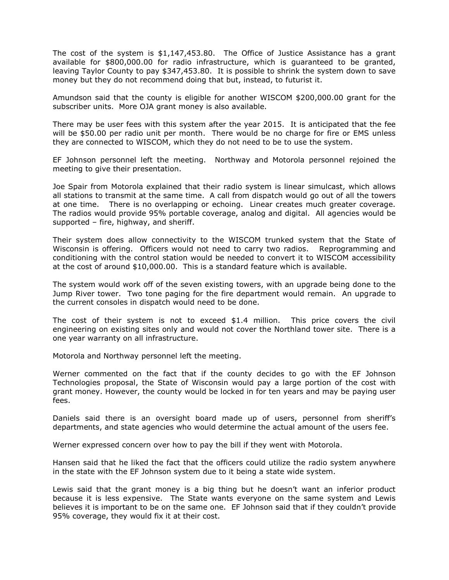The cost of the system is \$1,147,453.80. The Office of Justice Assistance has a grant available for \$800,000.00 for radio infrastructure, which is guaranteed to be granted, leaving Taylor County to pay \$347,453.80. It is possible to shrink the system down to save money but they do not recommend doing that but, instead, to futurist it.

Amundson said that the county is eligible for another WISCOM \$200,000.00 grant for the subscriber units. More OJA grant money is also available.

There may be user fees with this system after the year 2015. It is anticipated that the fee will be \$50.00 per radio unit per month. There would be no charge for fire or EMS unless they are connected to WISCOM, which they do not need to be to use the system.

EF Johnson personnel left the meeting. Northway and Motorola personnel rejoined the meeting to give their presentation.

Joe Spair from Motorola explained that their radio system is linear simulcast, which allows all stations to transmit at the same time. A call from dispatch would go out of all the towers at one time. There is no overlapping or echoing. Linear creates much greater coverage. The radios would provide 95% portable coverage, analog and digital. All agencies would be supported – fire, highway, and sheriff.

Their system does allow connectivity to the WISCOM trunked system that the State of Wisconsin is offering. Officers would not need to carry two radios. Reprogramming and conditioning with the control station would be needed to convert it to WISCOM accessibility at the cost of around \$10,000.00. This is a standard feature which is available.

The system would work off of the seven existing towers, with an upgrade being done to the Jump River tower. Two tone paging for the fire department would remain. An upgrade to the current consoles in dispatch would need to be done.

The cost of their system is not to exceed \$1.4 million. This price covers the civil engineering on existing sites only and would not cover the Northland tower site. There is a one year warranty on all infrastructure.

Motorola and Northway personnel left the meeting.

Werner commented on the fact that if the county decides to go with the EF Johnson Technologies proposal, the State of Wisconsin would pay a large portion of the cost with grant money. However, the county would be locked in for ten years and may be paying user fees.

Daniels said there is an oversight board made up of users, personnel from sheriff's departments, and state agencies who would determine the actual amount of the users fee.

Werner expressed concern over how to pay the bill if they went with Motorola.

Hansen said that he liked the fact that the officers could utilize the radio system anywhere in the state with the EF Johnson system due to it being a state wide system.

Lewis said that the grant money is a big thing but he doesn't want an inferior product because it is less expensive. The State wants everyone on the same system and Lewis believes it is important to be on the same one. EF Johnson said that if they couldn't provide 95% coverage, they would fix it at their cost.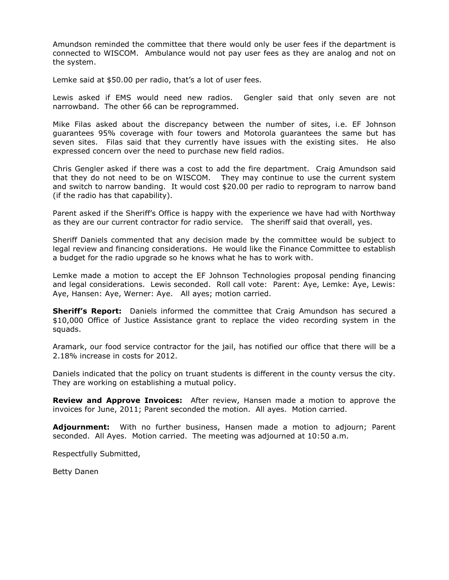Amundson reminded the committee that there would only be user fees if the department is connected to WISCOM. Ambulance would not pay user fees as they are analog and not on the system.

Lemke said at \$50.00 per radio, that's a lot of user fees.

Lewis asked if EMS would need new radios. Gengler said that only seven are not narrowband. The other 66 can be reprogrammed.

Mike Filas asked about the discrepancy between the number of sites, i.e. EF Johnson guarantees 95% coverage with four towers and Motorola guarantees the same but has seven sites. Filas said that they currently have issues with the existing sites. He also expressed concern over the need to purchase new field radios.

Chris Gengler asked if there was a cost to add the fire department. Craig Amundson said that they do not need to be on WISCOM. They may continue to use the current system and switch to narrow banding. It would cost \$20.00 per radio to reprogram to narrow band (if the radio has that capability).

Parent asked if the Sheriff's Office is happy with the experience we have had with Northway as they are our current contractor for radio service. The sheriff said that overall, yes.

Sheriff Daniels commented that any decision made by the committee would be subject to legal review and financing considerations. He would like the Finance Committee to establish a budget for the radio upgrade so he knows what he has to work with.

Lemke made a motion to accept the EF Johnson Technologies proposal pending financing and legal considerations. Lewis seconded. Roll call vote: Parent: Aye, Lemke: Aye, Lewis: Aye, Hansen: Aye, Werner: Aye. All ayes; motion carried.

**Sheriff's Report:** Daniels informed the committee that Craig Amundson has secured a \$10,000 Office of Justice Assistance grant to replace the video recording system in the squads.

Aramark, our food service contractor for the jail, has notified our office that there will be a 2.18% increase in costs for 2012.

Daniels indicated that the policy on truant students is different in the county versus the city. They are working on establishing a mutual policy.

**Review and Approve Invoices:** After review, Hansen made a motion to approve the invoices for June, 2011; Parent seconded the motion. All ayes. Motion carried.

**Adjournment:** With no further business, Hansen made a motion to adjourn; Parent seconded. All Ayes. Motion carried. The meeting was adjourned at 10:50 a.m.

Respectfully Submitted,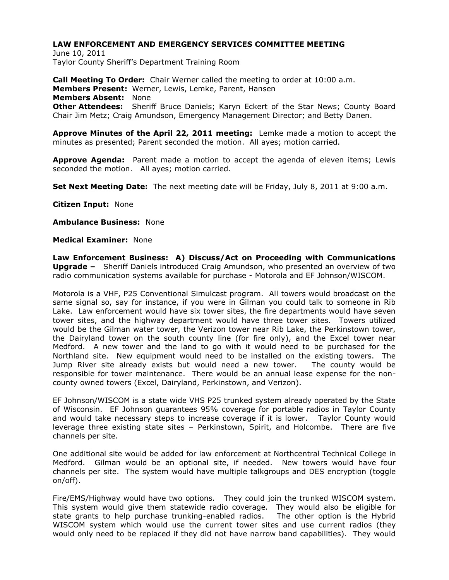June 10, 2011 Taylor County Sheriff's Department Training Room

**Call Meeting To Order:** Chair Werner called the meeting to order at 10:00 a.m. **Members Present:** Werner, Lewis, Lemke, Parent, Hansen **Members Absent:** None **Other Attendees:** Sheriff Bruce Daniels; Karyn Eckert of the Star News; County Board Chair Jim Metz; Craig Amundson, Emergency Management Director; and Betty Danen.

**Approve Minutes of the April 22, 2011 meeting:** Lemke made a motion to accept the minutes as presented; Parent seconded the motion. All ayes; motion carried.

**Approve Agenda:** Parent made a motion to accept the agenda of eleven items; Lewis seconded the motion. All ayes; motion carried.

**Set Next Meeting Date:** The next meeting date will be Friday, July 8, 2011 at 9:00 a.m.

**Citizen Input:** None

**Ambulance Business:** None

**Medical Examiner:** None

**Law Enforcement Business: A) Discuss/Act on Proceeding with Communications Upgrade –** Sheriff Daniels introduced Craig Amundson, who presented an overview of two radio communication systems available for purchase - Motorola and EF Johnson/WISCOM.

Motorola is a VHF, P25 Conventional Simulcast program. All towers would broadcast on the same signal so, say for instance, if you were in Gilman you could talk to someone in Rib Lake. Law enforcement would have six tower sites, the fire departments would have seven tower sites, and the highway department would have three tower sites. Towers utilized would be the Gilman water tower, the Verizon tower near Rib Lake, the Perkinstown tower, the Dairyland tower on the south county line (for fire only), and the Excel tower near Medford. A new tower and the land to go with it would need to be purchased for the Northland site. New equipment would need to be installed on the existing towers. The Jump River site already exists but would need a new tower. The county would be responsible for tower maintenance. There would be an annual lease expense for the noncounty owned towers (Excel, Dairyland, Perkinstown, and Verizon).

EF Johnson/WISCOM is a state wide VHS P25 trunked system already operated by the State of Wisconsin. EF Johnson guarantees 95% coverage for portable radios in Taylor County and would take necessary steps to increase coverage if it is lower. Taylor County would leverage three existing state sites – Perkinstown, Spirit, and Holcombe. There are five channels per site.

One additional site would be added for law enforcement at Northcentral Technical College in Medford. Gilman would be an optional site, if needed. New towers would have four channels per site. The system would have multiple talkgroups and DES encryption (toggle on/off).

Fire/EMS/Highway would have two options. They could join the trunked WISCOM system. This system would give them statewide radio coverage. They would also be eligible for state grants to help purchase trunking-enabled radios. The other option is the Hybrid WISCOM system which would use the current tower sites and use current radios (they would only need to be replaced if they did not have narrow band capabilities). They would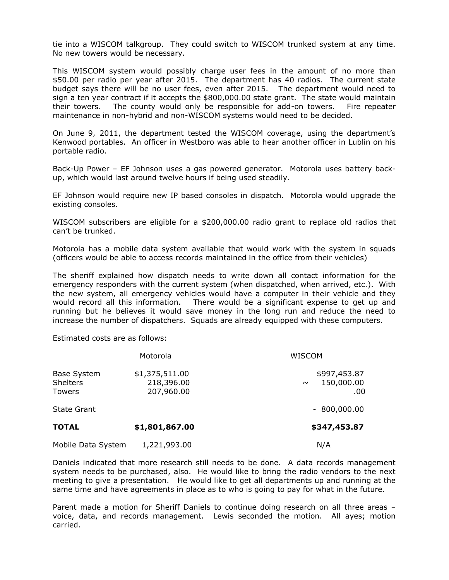tie into a WISCOM talkgroup. They could switch to WISCOM trunked system at any time. No new towers would be necessary.

This WISCOM system would possibly charge user fees in the amount of no more than \$50.00 per radio per year after 2015. The department has 40 radios. The current state budget says there will be no user fees, even after 2015. The department would need to sign a ten year contract if it accepts the \$800,000.00 state grant. The state would maintain their towers. The county would only be responsible for add-on towers. Fire repeater maintenance in non-hybrid and non-WISCOM systems would need to be decided.

On June 9, 2011, the department tested the WISCOM coverage, using the department's Kenwood portables. An officer in Westboro was able to hear another officer in Lublin on his portable radio.

Back-Up Power – EF Johnson uses a gas powered generator. Motorola uses battery backup, which would last around twelve hours if being used steadily.

EF Johnson would require new IP based consoles in dispatch. Motorola would upgrade the existing consoles.

WISCOM subscribers are eligible for a \$200,000.00 radio grant to replace old radios that can't be trunked.

Motorola has a mobile data system available that would work with the system in squads (officers would be able to access records maintained in the office from their vehicles)

The sheriff explained how dispatch needs to write down all contact information for the emergency responders with the current system (when dispatched, when arrived, etc.). With the new system, all emergency vehicles would have a computer in their vehicle and they would record all this information. There would be a significant expense to get up and running but he believes it would save money in the long run and reduce the need to increase the number of dispatchers. Squads are already equipped with these computers.

Estimated costs are as follows:

|                                                        | Motorola                                   | WISCOM                                      |
|--------------------------------------------------------|--------------------------------------------|---------------------------------------------|
| <b>Base System</b><br><b>Shelters</b><br><b>Towers</b> | \$1,375,511.00<br>218,396.00<br>207,960.00 | \$997,453.87<br>150,000.00<br>$\sim$<br>.00 |
| <b>State Grant</b>                                     |                                            | $-800,000.00$                               |
| <b>TOTAL</b>                                           | \$1,801,867.00                             | \$347,453.87                                |
| Mobile Data System                                     | 1,221,993.00                               | N/A                                         |

Daniels indicated that more research still needs to be done. A data records management system needs to be purchased, also. He would like to bring the radio vendors to the next meeting to give a presentation. He would like to get all departments up and running at the same time and have agreements in place as to who is going to pay for what in the future.

Parent made a motion for Sheriff Daniels to continue doing research on all three areas voice, data, and records management. Lewis seconded the motion. All ayes; motion carried.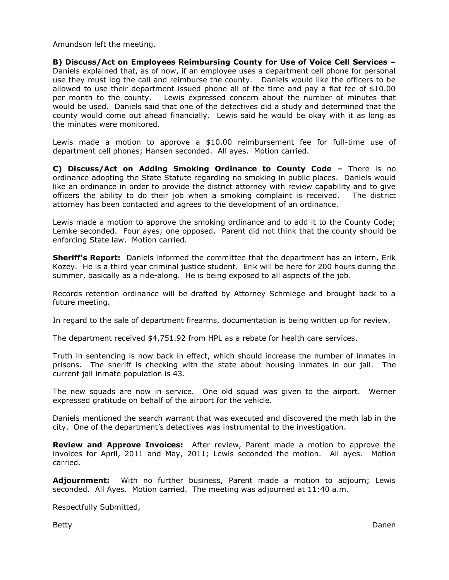Amundson left the meeting.

**B) Discuss/Act on Employees Reimbursing County for Use of Voice Cell Services –** Daniels explained that, as of now, if an employee uses a department cell phone for personal use they must log the call and reimburse the county. Daniels would like the officers to be allowed to use their department issued phone all of the time and pay a flat fee of \$10.00 per month to the county. Lewis expressed concern about the number of minutes that would be used. Daniels said that one of the detectives did a study and determined that the county would come out ahead financially. Lewis said he would be okay with it as long as the minutes were monitored.

Lewis made a motion to approve a \$10.00 reimbursement fee for full-time use of department cell phones; Hansen seconded. All ayes. Motion carried.

**C) Discuss/Act on Adding Smoking Ordinance to County Code –** There is no ordinance adopting the State Statute regarding no smoking in public places. Daniels would like an ordinance in order to provide the district attorney with review capability and to give officers the ability to do their job when a smoking complaint is received. The district attorney has been contacted and agrees to the development of an ordinance.

Lewis made a motion to approve the smoking ordinance and to add it to the County Code; Lemke seconded. Four ayes; one opposed. Parent did not think that the county should be enforcing State law. Motion carried.

**Sheriff's Report:** Daniels informed the committee that the department has an intern, Erik Kozey. He is a third year criminal justice student. Erik will be here for 200 hours during the summer, basically as a ride-along. He is being exposed to all aspects of the job.

Records retention ordinance will be drafted by Attorney Schmiege and brought back to a future meeting.

In regard to the sale of department firearms, documentation is being written up for review.

The department received \$4,751.92 from HPL as a rebate for health care services.

Truth in sentencing is now back in effect, which should increase the number of inmates in prisons. The sheriff is checking with the state about housing inmates in our jail. The current jail inmate population is 43.

The new squads are now in service. One old squad was given to the airport. Werner expressed gratitude on behalf of the airport for the vehicle.

Daniels mentioned the search warrant that was executed and discovered the meth lab in the city. One of the department's detectives was instrumental to the investigation.

**Review and Approve Invoices:** After review, Parent made a motion to approve the invoices for April, 2011 and May, 2011; Lewis seconded the motion. All ayes. Motion carried.

**Adjournment:** With no further business, Parent made a motion to adjourn; Lewis seconded. All Ayes. Motion carried. The meeting was adjourned at 11:40 a.m.

Respectfully Submitted,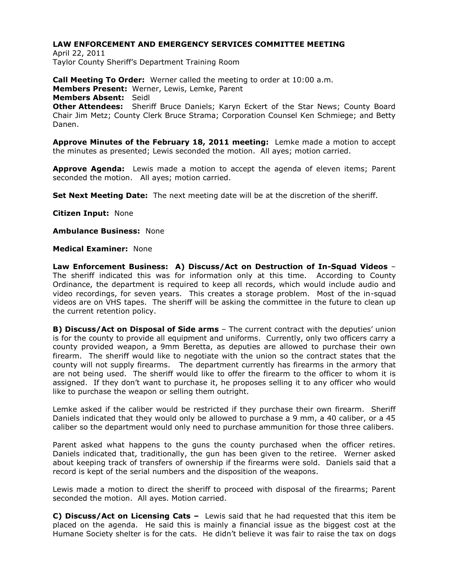April 22, 2011 Taylor County Sheriff's Department Training Room

**Call Meeting To Order:** Werner called the meeting to order at 10:00 a.m. **Members Present:** Werner, Lewis, Lemke, Parent **Members Absent:** Seidl **Other Attendees:** Sheriff Bruce Daniels; Karyn Eckert of the Star News; County Board Chair Jim Metz; County Clerk Bruce Strama; Corporation Counsel Ken Schmiege; and Betty Danen.

**Approve Minutes of the February 18, 2011 meeting:** Lemke made a motion to accept the minutes as presented; Lewis seconded the motion. All ayes; motion carried.

**Approve Agenda:** Lewis made a motion to accept the agenda of eleven items; Parent seconded the motion. All ayes; motion carried.

**Set Next Meeting Date:** The next meeting date will be at the discretion of the sheriff.

**Citizen Input:** None

**Ambulance Business:** None

**Medical Examiner:** None

**Law Enforcement Business: A) Discuss/Act on Destruction of In-Squad Videos** – The sheriff indicated this was for information only at this time. According to County Ordinance, the department is required to keep all records, which would include audio and video recordings, for seven years. This creates a storage problem. Most of the in-squad videos are on VHS tapes. The sheriff will be asking the committee in the future to clean up the current retention policy.

**B) Discuss/Act on Disposal of Side arms** – The current contract with the deputies' union is for the county to provide all equipment and uniforms. Currently, only two officers carry a county provided weapon, a 9mm Beretta, as deputies are allowed to purchase their own firearm. The sheriff would like to negotiate with the union so the contract states that the county will not supply firearms. The department currently has firearms in the armory that are not being used. The sheriff would like to offer the firearm to the officer to whom it is assigned. If they don't want to purchase it, he proposes selling it to any officer who would like to purchase the weapon or selling them outright.

Lemke asked if the caliber would be restricted if they purchase their own firearm. Sheriff Daniels indicated that they would only be allowed to purchase a 9 mm, a 40 caliber, or a 45 caliber so the department would only need to purchase ammunition for those three calibers.

Parent asked what happens to the guns the county purchased when the officer retires. Daniels indicated that, traditionally, the gun has been given to the retiree. Werner asked about keeping track of transfers of ownership if the firearms were sold. Daniels said that a record is kept of the serial numbers and the disposition of the weapons.

Lewis made a motion to direct the sheriff to proceed with disposal of the firearms; Parent seconded the motion. All ayes. Motion carried.

**C) Discuss/Act on Licensing Cats –** Lewis said that he had requested that this item be placed on the agenda. He said this is mainly a financial issue as the biggest cost at the Humane Society shelter is for the cats. He didn't believe it was fair to raise the tax on dogs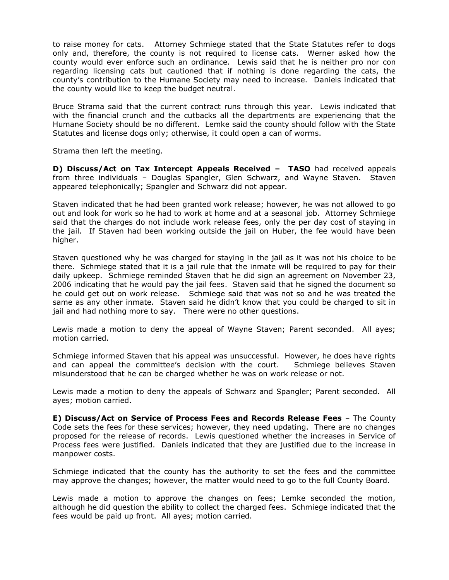to raise money for cats. Attorney Schmiege stated that the State Statutes refer to dogs only and, therefore, the county is not required to license cats. Werner asked how the county would ever enforce such an ordinance. Lewis said that he is neither pro nor con regarding licensing cats but cautioned that if nothing is done regarding the cats, the county's contribution to the Humane Society may need to increase. Daniels indicated that the county would like to keep the budget neutral.

Bruce Strama said that the current contract runs through this year. Lewis indicated that with the financial crunch and the cutbacks all the departments are experiencing that the Humane Society should be no different. Lemke said the county should follow with the State Statutes and license dogs only; otherwise, it could open a can of worms.

Strama then left the meeting.

**D) Discuss/Act on Tax Intercept Appeals Received – TASO** had received appeals from three individuals – Douglas Spangler, Glen Schwarz, and Wayne Staven. Staven appeared telephonically; Spangler and Schwarz did not appear.

Staven indicated that he had been granted work release; however, he was not allowed to go out and look for work so he had to work at home and at a seasonal job. Attorney Schmiege said that the charges do not include work release fees, only the per day cost of staying in the jail. If Staven had been working outside the jail on Huber, the fee would have been higher.

Staven questioned why he was charged for staying in the jail as it was not his choice to be there. Schmiege stated that it is a jail rule that the inmate will be required to pay for their daily upkeep. Schmiege reminded Staven that he did sign an agreement on November 23, 2006 indicating that he would pay the jail fees. Staven said that he signed the document so he could get out on work release. Schmiege said that was not so and he was treated the same as any other inmate. Staven said he didn't know that you could be charged to sit in jail and had nothing more to say. There were no other questions.

Lewis made a motion to deny the appeal of Wayne Staven; Parent seconded. All ayes; motion carried.

Schmiege informed Staven that his appeal was unsuccessful. However, he does have rights and can appeal the committee's decision with the court. Schmiege believes Staven misunderstood that he can be charged whether he was on work release or not.

Lewis made a motion to deny the appeals of Schwarz and Spangler; Parent seconded. All ayes; motion carried.

**E) Discuss/Act on Service of Process Fees and Records Release Fees** – The County Code sets the fees for these services; however, they need updating. There are no changes proposed for the release of records. Lewis questioned whether the increases in Service of Process fees were justified. Daniels indicated that they are justified due to the increase in manpower costs.

Schmiege indicated that the county has the authority to set the fees and the committee may approve the changes; however, the matter would need to go to the full County Board.

Lewis made a motion to approve the changes on fees; Lemke seconded the motion, although he did question the ability to collect the charged fees. Schmiege indicated that the fees would be paid up front. All ayes; motion carried.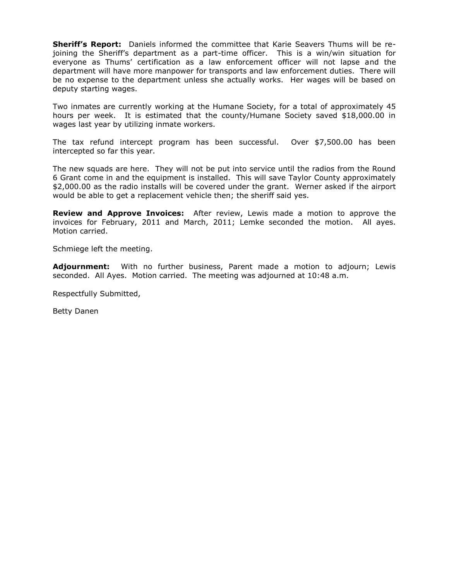**Sheriff's Report:** Daniels informed the committee that Karie Seavers Thums will be rejoining the Sheriff's department as a part-time officer. This is a win/win situation for everyone as Thums' certification as a law enforcement officer will not lapse and the department will have more manpower for transports and law enforcement duties. There will be no expense to the department unless she actually works. Her wages will be based on deputy starting wages.

Two inmates are currently working at the Humane Society, for a total of approximately 45 hours per week. It is estimated that the county/Humane Society saved \$18,000.00 in wages last year by utilizing inmate workers.

The tax refund intercept program has been successful. Over \$7,500.00 has been intercepted so far this year.

The new squads are here. They will not be put into service until the radios from the Round 6 Grant come in and the equipment is installed. This will save Taylor County approximately \$2,000.00 as the radio installs will be covered under the grant. Werner asked if the airport would be able to get a replacement vehicle then; the sheriff said yes.

**Review and Approve Invoices:** After review, Lewis made a motion to approve the invoices for February, 2011 and March, 2011; Lemke seconded the motion. All ayes. Motion carried.

Schmiege left the meeting.

**Adjournment:** With no further business, Parent made a motion to adjourn; Lewis seconded. All Ayes. Motion carried. The meeting was adjourned at 10:48 a.m.

Respectfully Submitted,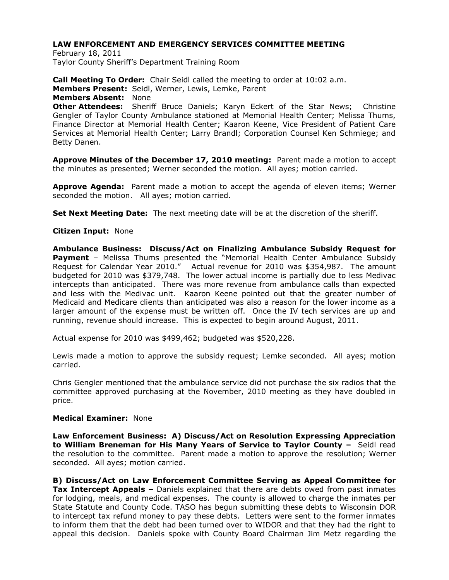February 18, 2011 Taylor County Sheriff's Department Training Room

**Call Meeting To Order:** Chair Seidl called the meeting to order at 10:02 a.m. **Members Present:** Seidl, Werner, Lewis, Lemke, Parent **Members Absent:** None **Other Attendees:** Sheriff Bruce Daniels; Karyn Eckert of the Star News; Christine Gengler of Taylor County Ambulance stationed at Memorial Health Center; Melissa Thums, Finance Director at Memorial Health Center; Kaaron Keene, Vice President of Patient Care Services at Memorial Health Center; Larry Brandl; Corporation Counsel Ken Schmiege; and Betty Danen.

**Approve Minutes of the December 17, 2010 meeting:** Parent made a motion to accept the minutes as presented; Werner seconded the motion. All ayes; motion carried.

**Approve Agenda:** Parent made a motion to accept the agenda of eleven items; Werner seconded the motion. All ayes; motion carried.

**Set Next Meeting Date:** The next meeting date will be at the discretion of the sheriff.

## **Citizen Input:** None

**Ambulance Business: Discuss/Act on Finalizing Ambulance Subsidy Request for Payment** - Melissa Thums presented the "Memorial Health Center Ambulance Subsidy Request for Calendar Year 2010." Actual revenue for 2010 was \$354,987. The amount budgeted for 2010 was \$379,748. The lower actual income is partially due to less Medivac intercepts than anticipated. There was more revenue from ambulance calls than expected and less with the Medivac unit. Kaaron Keene pointed out that the greater number of Medicaid and Medicare clients than anticipated was also a reason for the lower income as a larger amount of the expense must be written off. Once the IV tech services are up and running, revenue should increase. This is expected to begin around August, 2011.

Actual expense for 2010 was \$499,462; budgeted was \$520,228.

Lewis made a motion to approve the subsidy request; Lemke seconded. All ayes; motion carried.

Chris Gengler mentioned that the ambulance service did not purchase the six radios that the committee approved purchasing at the November, 2010 meeting as they have doubled in price.

### **Medical Examiner:** None

**Law Enforcement Business: A) Discuss/Act on Resolution Expressing Appreciation to William Breneman for His Many Years of Service to Taylor County –** Seidl read the resolution to the committee. Parent made a motion to approve the resolution; Werner seconded. All ayes; motion carried.

**B) Discuss/Act on Law Enforcement Committee Serving as Appeal Committee for Tax Intercept Appeals –** Daniels explained that there are debts owed from past inmates for lodging, meals, and medical expenses. The county is allowed to charge the inmates per State Statute and County Code. TASO has begun submitting these debts to Wisconsin DOR to intercept tax refund money to pay these debts. Letters were sent to the former inmates to inform them that the debt had been turned over to WIDOR and that they had the right to appeal this decision. Daniels spoke with County Board Chairman Jim Metz regarding the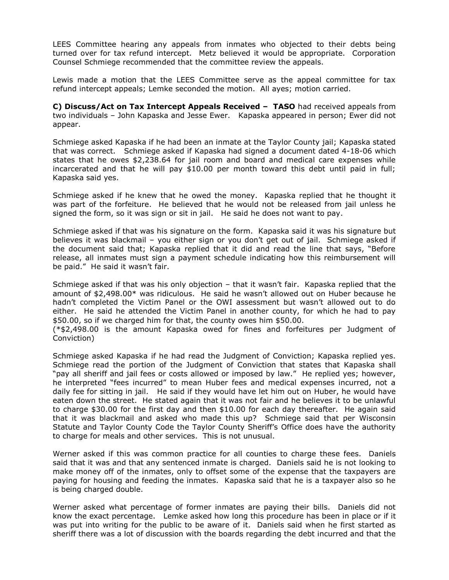LEES Committee hearing any appeals from inmates who objected to their debts being turned over for tax refund intercept. Metz believed it would be appropriate. Corporation Counsel Schmiege recommended that the committee review the appeals.

Lewis made a motion that the LEES Committee serve as the appeal committee for tax refund intercept appeals; Lemke seconded the motion. All ayes; motion carried.

**C) Discuss/Act on Tax Intercept Appeals Received – TASO** had received appeals from two individuals – John Kapaska and Jesse Ewer. Kapaska appeared in person; Ewer did not appear.

Schmiege asked Kapaska if he had been an inmate at the Taylor County jail; Kapaska stated that was correct. Schmiege asked if Kapaska had signed a document dated 4-18-06 which states that he owes \$2,238.64 for jail room and board and medical care expenses while incarcerated and that he will pay \$10.00 per month toward this debt until paid in full; Kapaska said yes.

Schmiege asked if he knew that he owed the money. Kapaska replied that he thought it was part of the forfeiture. He believed that he would not be released from jail unless he signed the form, so it was sign or sit in jail. He said he does not want to pay.

Schmiege asked if that was his signature on the form. Kapaska said it was his signature but believes it was blackmail – you either sign or you don't get out of jail. Schmiege asked if the document said that; Kapaska replied that it did and read the line that says, "Before release, all inmates must sign a payment schedule indicating how this reimbursement will be paid." He said it wasn't fair.

Schmiege asked if that was his only objection – that it wasn't fair. Kapaska replied that the amount of \$2,498.00\* was ridiculous. He said he wasn't allowed out on Huber because he hadn't completed the Victim Panel or the OWI assessment but wasn't allowed out to do either. He said he attended the Victim Panel in another county, for which he had to pay \$50.00, so if we charged him for that, the county owes him \$50.00.

(\*\$2,498.00 is the amount Kapaska owed for fines and forfeitures per Judgment of Conviction)

Schmiege asked Kapaska if he had read the Judgment of Conviction; Kapaska replied yes. Schmiege read the portion of the Judgment of Conviction that states that Kapaska shall "pay all sheriff and jail fees or costs allowed or imposed by law." He replied yes; however, he interpreted "fees incurred" to mean Huber fees and medical expenses incurred, not a daily fee for sitting in jail. He said if they would have let him out on Huber, he would have eaten down the street. He stated again that it was not fair and he believes it to be unlawful to charge \$30.00 for the first day and then \$10.00 for each day thereafter. He again said that it was blackmail and asked who made this up? Schmiege said that per Wisconsin Statute and Taylor County Code the Taylor County Sheriff's Office does have the authority to charge for meals and other services. This is not unusual.

Werner asked if this was common practice for all counties to charge these fees. Daniels said that it was and that any sentenced inmate is charged. Daniels said he is not looking to make money off of the inmates, only to offset some of the expense that the taxpayers are paying for housing and feeding the inmates. Kapaska said that he is a taxpayer also so he is being charged double.

Werner asked what percentage of former inmates are paying their bills. Daniels did not know the exact percentage. Lemke asked how long this procedure has been in place or if it was put into writing for the public to be aware of it. Daniels said when he first started as sheriff there was a lot of discussion with the boards regarding the debt incurred and that the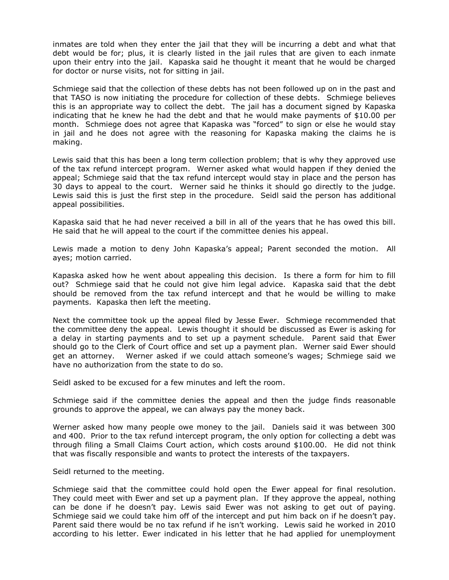inmates are told when they enter the jail that they will be incurring a debt and what that debt would be for; plus, it is clearly listed in the jail rules that are given to each inmate upon their entry into the jail. Kapaska said he thought it meant that he would be charged for doctor or nurse visits, not for sitting in jail.

Schmiege said that the collection of these debts has not been followed up on in the past and that TASO is now initiating the procedure for collection of these debts. Schmiege believes this is an appropriate way to collect the debt. The jail has a document signed by Kapaska indicating that he knew he had the debt and that he would make payments of \$10.00 per month. Schmiege does not agree that Kapaska was "forced" to sign or else he would stay in jail and he does not agree with the reasoning for Kapaska making the claims he is making.

Lewis said that this has been a long term collection problem; that is why they approved use of the tax refund intercept program. Werner asked what would happen if they denied the appeal; Schmiege said that the tax refund intercept would stay in place and the person has 30 days to appeal to the court. Werner said he thinks it should go directly to the judge. Lewis said this is just the first step in the procedure. Seidl said the person has additional appeal possibilities.

Kapaska said that he had never received a bill in all of the years that he has owed this bill. He said that he will appeal to the court if the committee denies his appeal.

Lewis made a motion to deny John Kapaska's appeal; Parent seconded the motion. All ayes; motion carried.

Kapaska asked how he went about appealing this decision. Is there a form for him to fill out? Schmiege said that he could not give him legal advice. Kapaska said that the debt should be removed from the tax refund intercept and that he would be willing to make payments. Kapaska then left the meeting.

Next the committee took up the appeal filed by Jesse Ewer. Schmiege recommended that the committee deny the appeal. Lewis thought it should be discussed as Ewer is asking for a delay in starting payments and to set up a payment schedule. Parent said that Ewer should go to the Clerk of Court office and set up a payment plan. Werner said Ewer should get an attorney. Werner asked if we could attach someone's wages; Schmiege said we have no authorization from the state to do so.

Seidl asked to be excused for a few minutes and left the room.

Schmiege said if the committee denies the appeal and then the judge finds reasonable grounds to approve the appeal, we can always pay the money back.

Werner asked how many people owe money to the jail. Daniels said it was between 300 and 400. Prior to the tax refund intercept program, the only option for collecting a debt was through filing a Small Claims Court action, which costs around \$100.00. He did not think that was fiscally responsible and wants to protect the interests of the taxpayers.

Seidl returned to the meeting.

Schmiege said that the committee could hold open the Ewer appeal for final resolution. They could meet with Ewer and set up a payment plan. If they approve the appeal, nothing can be done if he doesn't pay. Lewis said Ewer was not asking to get out of paying. Schmiege said we could take him off of the intercept and put him back on if he doesn't pay. Parent said there would be no tax refund if he isn't working. Lewis said he worked in 2010 according to his letter. Ewer indicated in his letter that he had applied for unemployment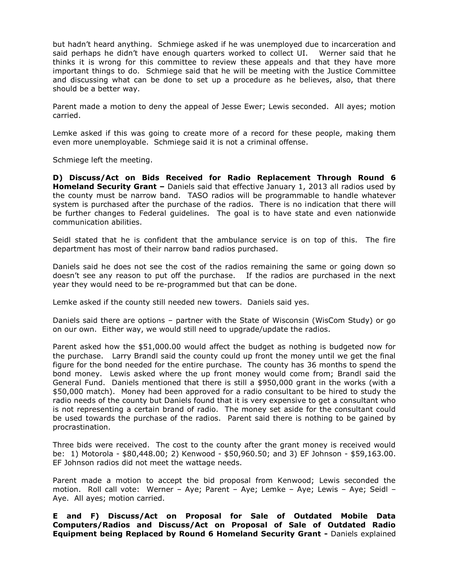but hadn't heard anything. Schmiege asked if he was unemployed due to incarceration and said perhaps he didn't have enough quarters worked to collect UI. Werner said that he thinks it is wrong for this committee to review these appeals and that they have more important things to do. Schmiege said that he will be meeting with the Justice Committee and discussing what can be done to set up a procedure as he believes, also, that there should be a better way.

Parent made a motion to deny the appeal of Jesse Ewer; Lewis seconded. All ayes; motion carried.

Lemke asked if this was going to create more of a record for these people, making them even more unemployable. Schmiege said it is not a criminal offense.

Schmiege left the meeting.

**D) Discuss/Act on Bids Received for Radio Replacement Through Round 6 Homeland Security Grant –** Daniels said that effective January 1, 2013 all radios used by the county must be narrow band. TASO radios will be programmable to handle whatever system is purchased after the purchase of the radios. There is no indication that there will be further changes to Federal guidelines. The goal is to have state and even nationwide communication abilities.

Seidl stated that he is confident that the ambulance service is on top of this. The fire department has most of their narrow band radios purchased.

Daniels said he does not see the cost of the radios remaining the same or going down so doesn't see any reason to put off the purchase. If the radios are purchased in the next year they would need to be re-programmed but that can be done.

Lemke asked if the county still needed new towers. Daniels said yes.

Daniels said there are options – partner with the State of Wisconsin (WisCom Study) or go on our own. Either way, we would still need to upgrade/update the radios.

Parent asked how the \$51,000.00 would affect the budget as nothing is budgeted now for the purchase. Larry Brandl said the county could up front the money until we get the final figure for the bond needed for the entire purchase. The county has 36 months to spend the bond money. Lewis asked where the up front money would come from; Brandl said the General Fund. Daniels mentioned that there is still a \$950,000 grant in the works (with a \$50,000 match). Money had been approved for a radio consultant to be hired to study the radio needs of the county but Daniels found that it is very expensive to get a consultant who is not representing a certain brand of radio. The money set aside for the consultant could be used towards the purchase of the radios. Parent said there is nothing to be gained by procrastination.

Three bids were received. The cost to the county after the grant money is received would be: 1) Motorola - \$80,448.00; 2) Kenwood - \$50,960.50; and 3) EF Johnson - \$59,163.00. EF Johnson radios did not meet the wattage needs.

Parent made a motion to accept the bid proposal from Kenwood; Lewis seconded the motion. Roll call vote: Werner – Aye; Parent – Aye; Lemke – Aye; Lewis – Aye; Seidl – Aye. All ayes; motion carried.

**E and F) Discuss/Act on Proposal for Sale of Outdated Mobile Data Computers/Radios and Discuss/Act on Proposal of Sale of Outdated Radio Equipment being Replaced by Round 6 Homeland Security Grant -** Daniels explained